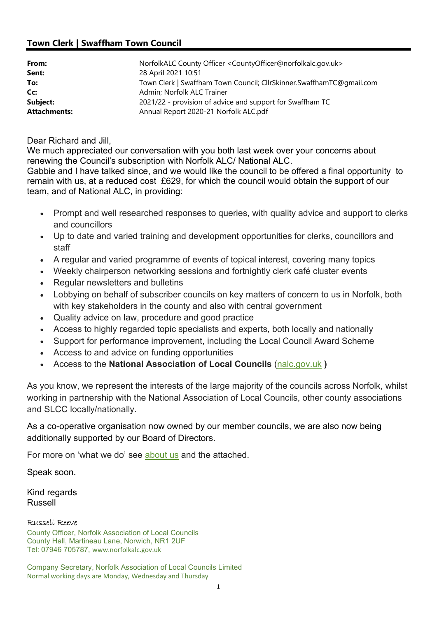## Town Clerk | Swaffham Town Council

| From:               | NorfolkALC County Officer <countyofficer@norfolkalc.gov.uk></countyofficer@norfolkalc.gov.uk> |
|---------------------|-----------------------------------------------------------------------------------------------|
| Sent:               | 28 April 2021 10:51                                                                           |
| To:                 | Town Clerk   Swaffham Town Council; CllrSkinner.SwaffhamTC@gmail.com                          |
| Cc:                 | Admin; Norfolk ALC Trainer                                                                    |
| Subject:            | 2021/22 - provision of advice and support for Swaffham TC                                     |
| <b>Attachments:</b> | Annual Report 2020-21 Norfolk ALC.pdf                                                         |

Dear Richard and Jill,

We much appreciated our conversation with you both last week over your concerns about renewing the Council's subscription with Norfolk ALC/ National ALC.

Gabbie and I have talked since, and we would like the council to be offered a final opportunity to remain with us, at a reduced cost £629, for which the council would obtain the support of our team, and of National ALC, in providing:

- Prompt and well researched responses to queries, with quality advice and support to clerks and councillors
- Up to date and varied training and development opportunities for clerks, councillors and staff
- A regular and varied programme of events of topical interest, covering many topics
- Weekly chairperson networking sessions and fortnightly clerk café cluster events
- Regular newsletters and bulletins
- Lobbying on behalf of subscriber councils on key matters of concern to us in Norfolk, both with key stakeholders in the county and also with central government
- Quality advice on law, procedure and good practice
- Access to highly regarded topic specialists and experts, both locally and nationally
- Support for performance improvement, including the Local Council Award Scheme
- Access to and advice on funding opportunities
- Access to the National Association of Local Councils (nalc.gov.uk )

As you know, we represent the interests of the large majority of the councils across Norfolk, whilst working in partnership with the National Association of Local Councils, other county associations and SLCC locally/nationally.

As a co-operative organisation now owned by our member councils, we are also now being additionally supported by our Board of Directors.

For more on 'what we do' see about us and the attached.

Speak soon.

Kind regards Russell

## Russell Reeve

County Officer, Norfolk Association of Local Councils County Hall, Martineau Lane, Norwich, NR1 2UF Tel: 07946 705787, www.norfolkalc.gov.uk

Company Secretary, Norfolk Association of Local Councils Limited Normal working days are Monday, Wednesday and Thursday